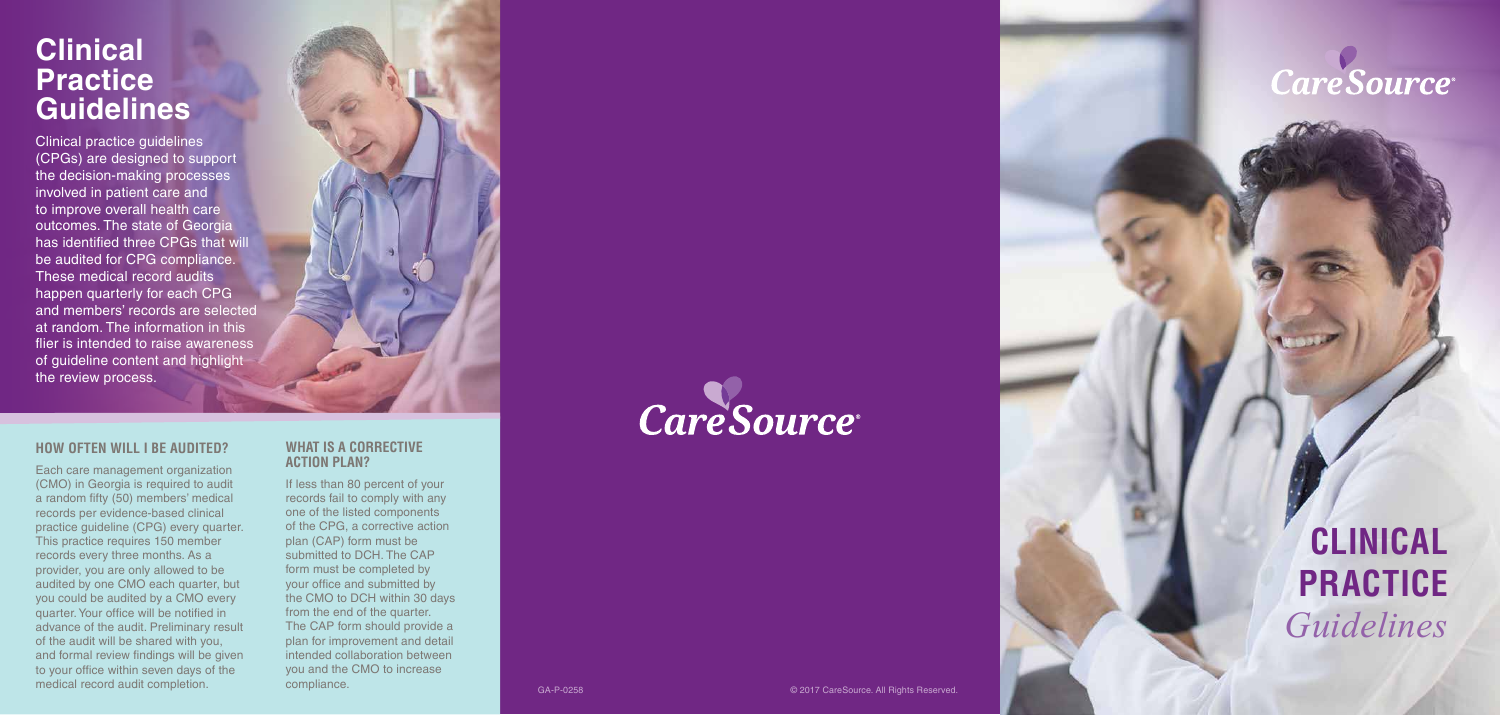## **Clinical Practice Guidelines**

Clinical practice guidelines (CPGs) are designed to support the decision-making processes involved in patient care and to improve overall health care outcomes. The state of Georgia has identified three CPGs that will be audited for CPG compliance. These medical record audits happen quarterly for each CPG and members' records are selected at random. The information in this flier is intended to raise awareness of guideline content and highlight the review process.

#### **HOW OFTEN WILL I BE AUDITED?**

Each care management organization (CMO) in Georgia is required to audit a random fifty (50) members' medical records per evidence-based clinical practice guideline (CPG) every quarter. This practice requires 150 member records every three months. As a provider, you are only allowed to be audited by one CMO each quarter, but you could be audited by a CMO every quarter. Your office will be notified in advance of the audit. Preliminary result of the audit will be shared with you, and formal review findings will be given to your office within seven days of the medical record audit completion.

#### **WHAT IS A CORRECTIVE ACTION PLAN?**

If less than 80 percent of your records fail to comply with any one of the listed components of the CPG, a corrective action plan (CAP) form must be submitted to DCH. The CAP form must be completed by your office and submitted by the CMO to DCH within 30 days from the end of the quarter. The CAP form should provide a plan for improvement and detail intended collaboration between you and the CMO to increase compliance.

# Care Source®



## **CLINICAL PRACTICE**  *Guidelines*